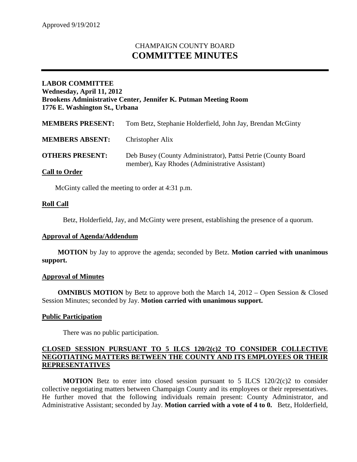# CHAMPAIGN COUNTY BOARD **COMMITTEE MINUTES**

# **LABOR COMMITTEE Wednesday, April 11, 2012 Brookens Administrative Center, Jennifer K. Putman Meeting Room 1776 E. Washington St., Urbana**

| <b>MEMBERS PRESENT:</b> | Tom Betz, Stephanie Holderfield, John Jay, Brendan McGinty                                                       |
|-------------------------|------------------------------------------------------------------------------------------------------------------|
| <b>MEMBERS ABSENT:</b>  | Christopher Alix                                                                                                 |
| <b>OTHERS PRESENT:</b>  | Deb Busey (County Administrator), Pattsi Petrie (County Board)<br>member), Kay Rhodes (Administrative Assistant) |
| <b>Call to Order</b>    |                                                                                                                  |

McGinty called the meeting to order at 4:31 p.m.

## **Roll Call**

Betz, Holderfield, Jay, and McGinty were present, establishing the presence of a quorum.

#### **Approval of Agenda/Addendum**

**MOTION** by Jay to approve the agenda; seconded by Betz. **Motion carried with unanimous support.**

#### **Approval of Minutes**

**OMNIBUS MOTION** by Betz to approve both the March 14, 2012 – Open Session & Closed Session Minutes; seconded by Jay. **Motion carried with unanimous support.**

#### **Public Participation**

There was no public participation.

## **CLOSED SESSION PURSUANT TO 5 ILCS 120/2(c)2 TO CONSIDER COLLECTIVE NEGOTIATING MATTERS BETWEEN THE COUNTY AND ITS EMPLOYEES OR THEIR REPRESENTATIVES**

**MOTION** Betz to enter into closed session pursuant to 5 ILCS 120/2(c)2 to consider collective negotiating matters between Champaign County and its employees or their representatives. He further moved that the following individuals remain present: County Administrator, and Administrative Assistant; seconded by Jay. **Motion carried with a vote of 4 to 0.** Betz, Holderfield,